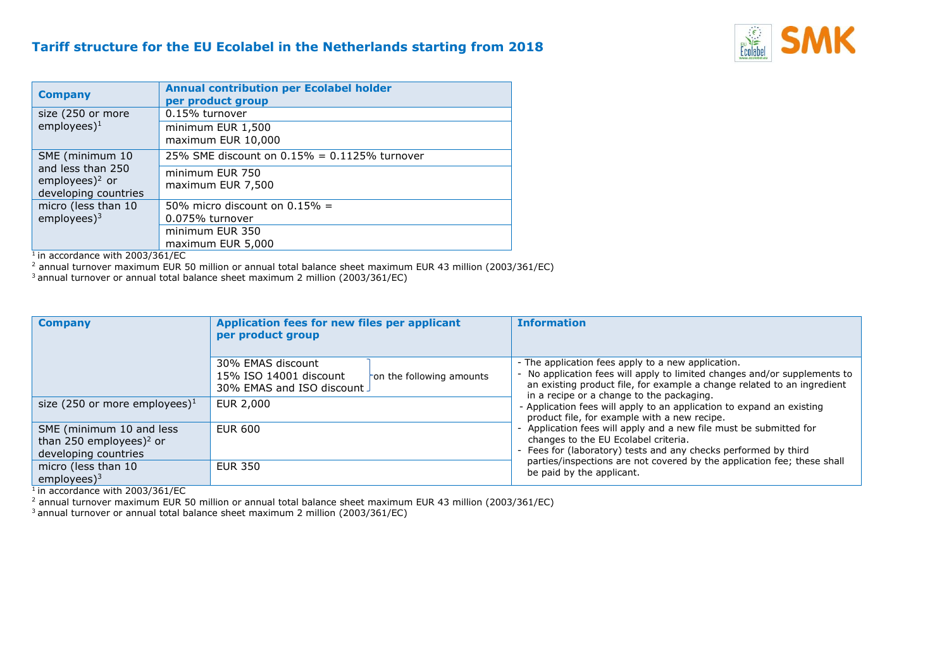## **Tariff structure for the EU Ecolabel in the Netherlands starting from 2018**



| <b>Company</b>                                                                             | <b>Annual contribution per Ecolabel holder</b><br>per product group |
|--------------------------------------------------------------------------------------------|---------------------------------------------------------------------|
| size (250 or more<br>employees $)^1$                                                       | 0.15% turnover                                                      |
|                                                                                            | minimum EUR 1,500<br>maximum EUR 10,000                             |
| SME (minimum 10<br>and less than 250<br>employees) <sup>2</sup> or<br>developing countries | 25% SME discount on $0.15% = 0.1125%$ turnover                      |
|                                                                                            | minimum EUR 750<br>maximum EUR 7,500                                |
| micro (less than 10<br>$employees$ <sup>3</sup>                                            | 50% micro discount on $0.15% =$                                     |
|                                                                                            | 0.075% turnover                                                     |
|                                                                                            | minimum EUR 350                                                     |
|                                                                                            | maximum EUR 5,000                                                   |

 $<sup>1</sup>$  in accordance with 2003/361/EC</sup>

<sup>2</sup> annual turnover maximum EUR 50 million or annual total balance sheet maximum EUR 43 million (2003/361/EC)

<sup>3</sup> annual turnover or annual total balance sheet maximum 2 million (2003/361/EC)

| <b>Company</b>                                                                          | Application fees for new files per applicant<br>per product group                                      | <b>Information</b>                                                                                                                                                                                                                                                                    |
|-----------------------------------------------------------------------------------------|--------------------------------------------------------------------------------------------------------|---------------------------------------------------------------------------------------------------------------------------------------------------------------------------------------------------------------------------------------------------------------------------------------|
|                                                                                         | 30% EMAS discount<br>15% ISO 14001 discount<br>on the following amounts<br>30% EMAS and ISO discount J | - The application fees apply to a new application.<br>- No application fees will apply to limited changes and/or supplements to<br>an existing product file, for example a change related to an ingredient<br>in a recipe or a change to the packaging.                               |
| size (250 or more employees) <sup>1</sup>                                               | EUR 2,000                                                                                              | - Application fees will apply to an application to expand an existing<br>product file, for example with a new recipe.                                                                                                                                                                 |
| SME (minimum 10 and less<br>than 250 employees) <sup>2</sup> or<br>developing countries | <b>EUR 600</b>                                                                                         | - Application fees will apply and a new file must be submitted for<br>changes to the EU Ecolabel criteria.<br>- Fees for (laboratory) tests and any checks performed by third<br>parties/inspections are not covered by the application fee; these shall<br>be paid by the applicant. |
| micro (less than 10<br>employees $)^3$                                                  | <b>EUR 350</b>                                                                                         |                                                                                                                                                                                                                                                                                       |

 $<sup>1</sup>$  in accordance with 2003/361/EC</sup>

<sup>2</sup> annual turnover maximum EUR 50 million or annual total balance sheet maximum EUR 43 million (2003/361/EC)

<sup>3</sup> annual turnover or annual total balance sheet maximum 2 million (2003/361/EC)